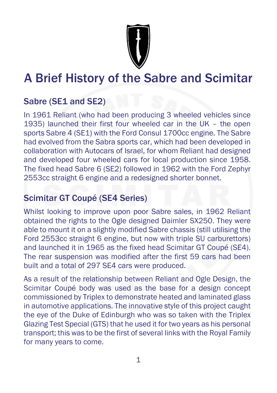

# A Brief History of the Sabre and Scimitar

## Sabre (SE1 and SE2)

In 1961 Reliant (who had been producing 3 wheeled vehicles since 1935) launched their first four wheeled car in the UK – the open sports Sabre 4 (SE1) with the Ford Consul 1700cc engine. The Sabre had evolved from the Sabra sports car, which had been developed in collaboration with Autocars of Israel, for whom Reliant had designed and developed four wheeled cars for local production since 1958. The fixed head Sabre 6 (SE2) followed in 1962 with the Ford Zephyr 2553cc straight 6 engine and a redesigned shorter bonnet.

## Scimitar GT Coupé (SE4 Series)

Whilst looking to improve upon poor Sabre sales, in 1962 Reliant obtained the rights to the Ogle designed Daimler SX250. They were able to mount it on a slightly modified Sabre chassis (still utilising the Ford 2553cc straight 6 engine, but now with triple SU carburettors) and launched it in 1965 as the fixed head Scimitar GT Coupé (SE4). The rear suspension was modified after the first 59 cars had been built and a total of 297 SE4 cars were produced.

As a result of the relationship between Reliant and Ogle Design, the Scimitar Coupé body was used as the base for a design concept commissioned by Triplex to demonstrate heated and laminated glass in automotive applications. The innovative style of this project caught the eye of the Duke of Edinburgh who was so taken with the Triplex Glazing Test Special (GTS) that he used it for two years as his personal transport; this was to be the first of several links with the Royal Family for many years to come.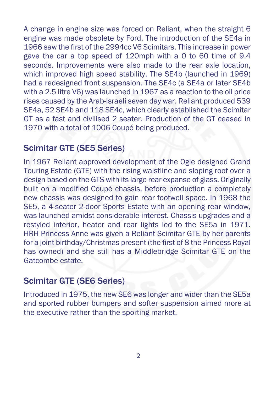A change in engine size was forced on Reliant, when the straight 6 engine was made obsolete by Ford. The introduction of the SE4a in 1966 saw the first of the 2994cc V6 Scimitars. This increase in power gave the car a top speed of 120mph with a 0 to 60 time of 9.4 seconds. Improvements were also made to the rear axle location, which improved high speed stability. The SE4b (launched in 1969) had a redesigned front suspension. The SE4c (a SE4a or later SE4b with a 2.5 litre V6) was launched in 1967 as a reaction to the oil price rises caused by the Arab-Israeli seven day war. Reliant produced 539 SE4a, 52 SE4b and 118 SE4c, which clearly established the Scimitar GT as a fast and civilised 2 seater. Production of the GT ceased in 1970 with a total of 1006 Coupé being produced.

#### Scimitar GTE (SE5 Series)

In 1967 Reliant approved development of the Ogle designed Grand Touring Estate (GTE) with the rising waistline and sloping roof over a design based on the GTS with its large rear expanse of glass. Originally built on a modified Coupé chassis, before production a completely new chassis was designed to gain rear footwell space. In 1968 the SE5, a 4-seater 2-door Sports Estate with an opening rear window, was launched amidst considerable interest. Chassis upgrades and a restyled interior, heater and rear lights led to the SE5a in 1971. HRH Princess Anne was given a Reliant Scimitar GTE by her parents for a joint birthday/Christmas present (the first of 8 the Princess Royal has owned) and she still has a Middlebridge Scimitar GTE on the Gatcombe estate.

#### Scimitar GTE (SE6 Series)

Introduced in 1975, the new SE6 was longer and wider than the SE5a and sported rubber bumpers and softer suspension aimed more at the executive rather than the sporting market.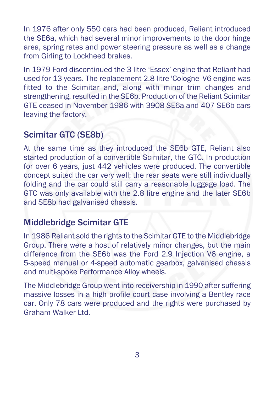In 1976 after only 550 cars had been produced, Reliant introduced the SE6a, which had several minor improvements to the door hinge area, spring rates and power steering pressure as well as a change from Girling to Lockheed brakes.

In 1979 Ford discontinued the 3 litre 'Essex' engine that Reliant had used for 13 years. The replacement 2.8 litre 'Cologne' V6 engine was fitted to the Scimitar and, along with minor trim changes and strengthening, resulted in the SE6b. Production of the Reliant Scimitar GTE ceased in November 1986 with 3908 SE6a and 407 SE6b cars leaving the factory.

#### Scimitar GTC (SE8b)

At the same time as they introduced the SE6b GTE, Reliant also started production of a convertible Scimitar, the GTC. In production for over 6 years, just 442 vehicles were produced. The convertible concept suited the car very well; the rear seats were still individually folding and the car could still carry a reasonable luggage load. The GTC was only available with the 2.8 litre engine and the later SE6b and SE8b had galvanised chassis.

#### Middlebridge Scimitar GTE

In 1986 Reliant sold the rights to the Scimitar GTE to the Middlebridge Group. There were a host of relatively minor changes, but the main difference from the SE6b was the Ford 2.9 Injection V6 engine, a 5-speed manual or 4-speed automatic gearbox, galvanised chassis and multi-spoke Performance Alloy wheels.

The Middlebridge Group went into receivership in 1990 after suffering massive losses in a high profile court case involving a Bentley race car. Only 78 cars were produced and the rights were purchased by Graham Walker Ltd.